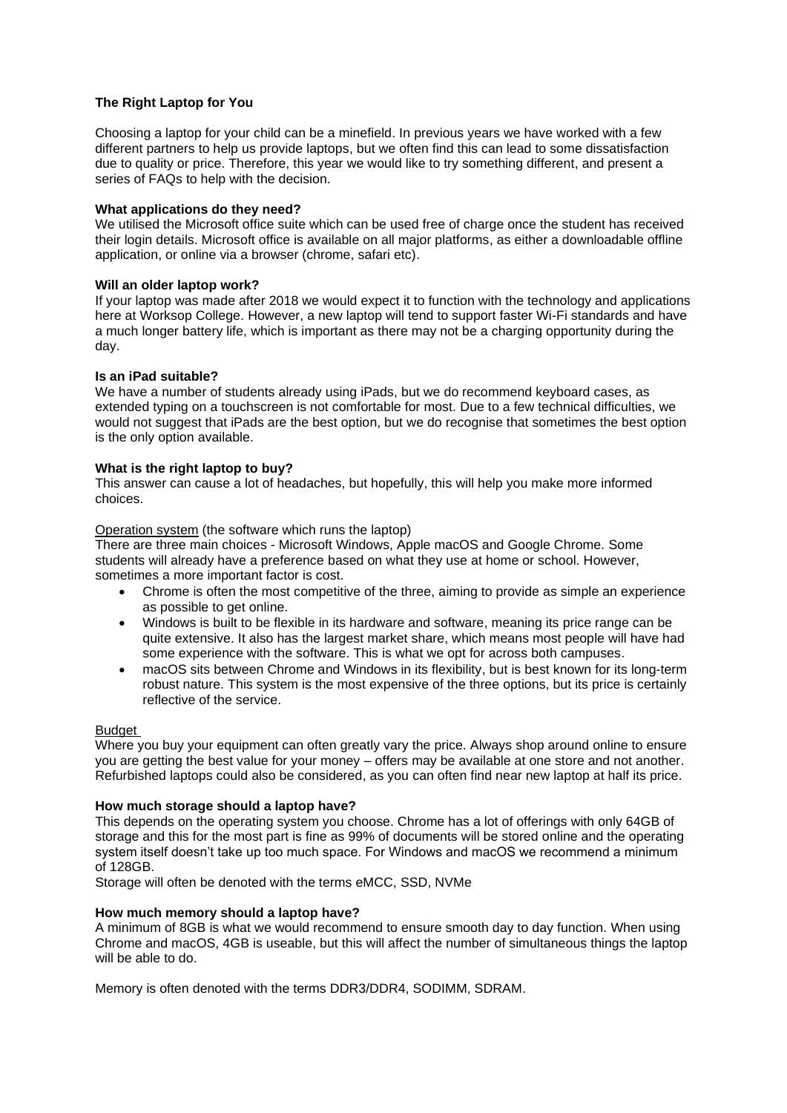### **The Right Laptop for You**

Choosing a laptop for your child can be a minefield. In previous years we have worked with a few different partners to help us provide laptops, but we often find this can lead to some dissatisfaction due to quality or price. Therefore, this year we would like to try something different, and present a series of FAQs to help with the decision.

#### **What applications do they need?**

We utilised the Microsoft office suite which can be used free of charge once the student has received their login details. Microsoft office is available on all major platforms, as either a downloadable offline application, or online via a browser (chrome, safari etc).

#### **Will an older laptop work?**

If your laptop was made after 2018 we would expect it to function with the technology and applications here at Worksop College. However, a new laptop will tend to support faster Wi-Fi standards and have a much longer battery life, which is important as there may not be a charging opportunity during the day.

#### **Is an iPad suitable?**

We have a number of students already using iPads, but we do recommend keyboard cases, as extended typing on a touchscreen is not comfortable for most. Due to a few technical difficulties, we would not suggest that iPads are the best option, but we do recognise that sometimes the best option is the only option available.

#### **What is the right laptop to buy?**

This answer can cause a lot of headaches, but hopefully, this will help you make more informed choices.

Operation system (the software which runs the laptop)

There are three main choices - Microsoft Windows, Apple macOS and Google Chrome. Some students will already have a preference based on what they use at home or school. However, sometimes a more important factor is cost.

- Chrome is often the most competitive of the three, aiming to provide as simple an experience as possible to get online.
- Windows is built to be flexible in its hardware and software, meaning its price range can be quite extensive. It also has the largest market share, which means most people will have had some experience with the software. This is what we opt for across both campuses.
- macOS sits between Chrome and Windows in its flexibility, but is best known for its long-term robust nature. This system is the most expensive of the three options, but its price is certainly reflective of the service.

#### Budget

Where you buy your equipment can often greatly vary the price. Always shop around online to ensure you are getting the best value for your money – offers may be available at one store and not another. Refurbished laptops could also be considered, as you can often find near new laptop at half its price.

#### **How much storage should a laptop have?**

This depends on the operating system you choose. Chrome has a lot of offerings with only 64GB of storage and this for the most part is fine as 99% of documents will be stored online and the operating system itself doesn't take up too much space. For Windows and macOS we recommend a minimum of 128GB.

Storage will often be denoted with the terms eMCC, SSD, NVMe

#### **How much memory should a laptop have?**

A minimum of 8GB is what we would recommend to ensure smooth day to day function. When using Chrome and macOS, 4GB is useable, but this will affect the number of simultaneous things the laptop will be able to do.

Memory is often denoted with the terms DDR3/DDR4, SODIMM, SDRAM.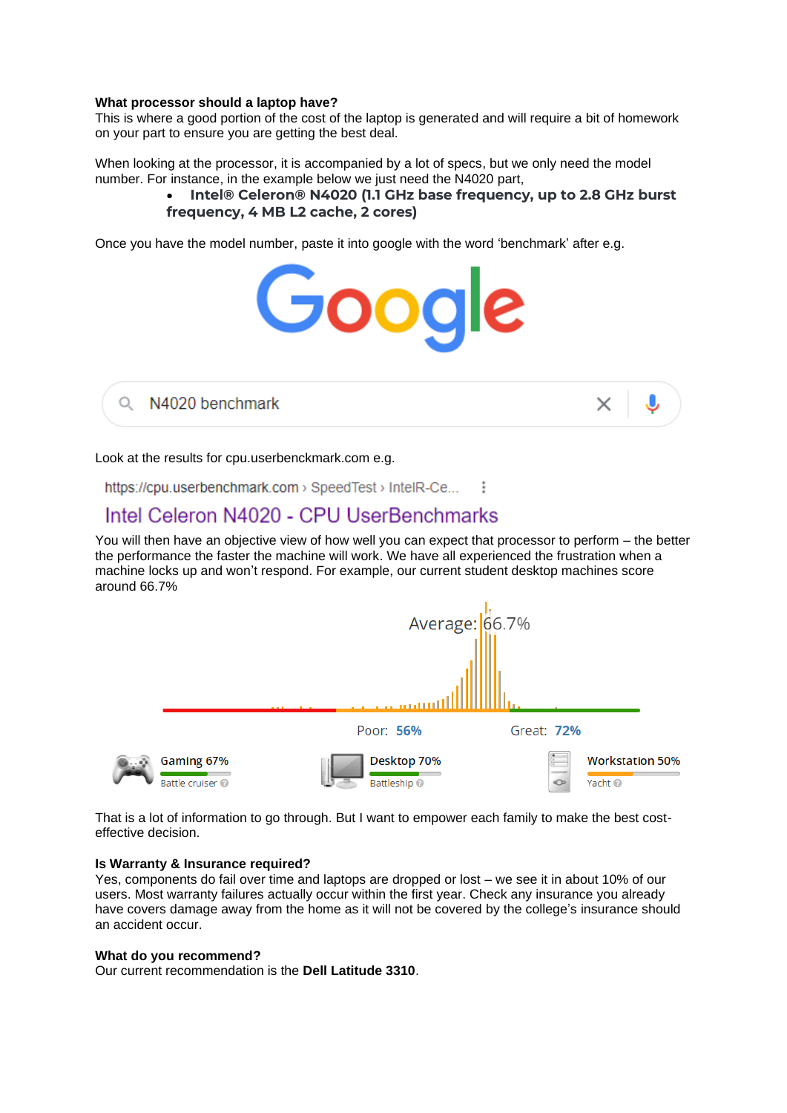#### **What processor should a laptop have?**

This is where a good portion of the cost of the laptop is generated and will require a bit of homework on your part to ensure you are getting the best deal.

When looking at the processor, it is accompanied by a lot of specs, but we only need the model number. For instance, in the example below we just need the N4020 part,

## • **Intel® Celeron® N4020 (1.1 GHz base frequency, up to 2.8 GHz burst frequency, 4 MB L2 cache, 2 cores)**

Once you have the model number, paste it into google with the word 'benchmark' after e.g.



N4020 benchmark Q



Look at the results for cpu.userbenckmark.com e.g.

https://cpu.userbenchmark.com > SpeedTest > IntelR-Ce... :

# Intel Celeron N4020 - CPU UserBenchmarks

You will then have an objective view of how well you can expect that processor to perform – the better the performance the faster the machine will work. We have all experienced the frustration when a machine locks up and won't respond. For example, our current student desktop machines score around 66.7%



That is a lot of information to go through. But I want to empower each family to make the best costeffective decision.

#### **Is Warranty & Insurance required?**

Yes, components do fail over time and laptops are dropped or lost – we see it in about 10% of our users. Most warranty failures actually occur within the first year. Check any insurance you already have covers damage away from the home as it will not be covered by the college's insurance should an accident occur.

#### **What do you recommend?**

Our current recommendation is the **Dell Latitude 3310**.